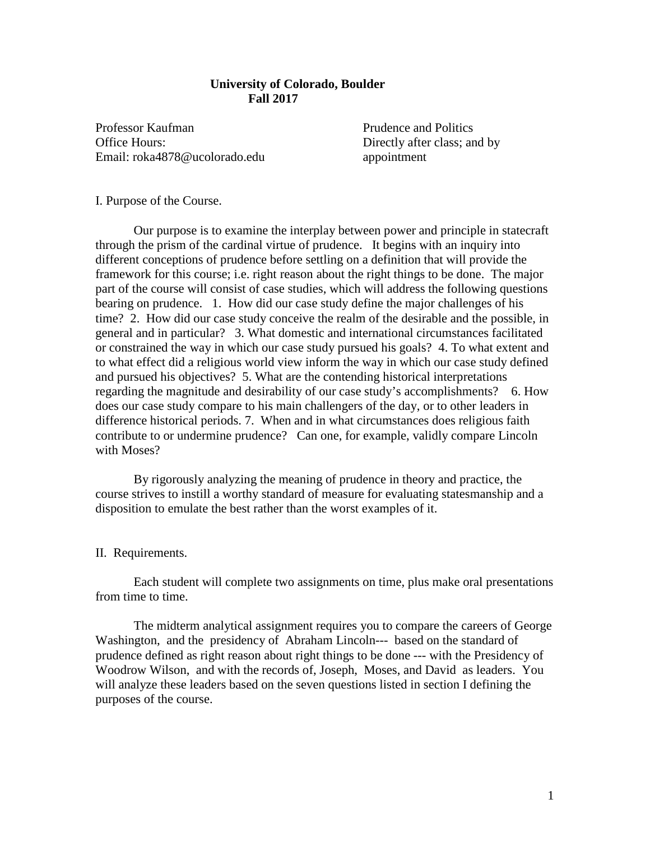## **University of Colorado, Boulder Fall 2017**

Professor Kaufman Prudence and Politics Office Hours: Directly after class; and by Email: roka4878@ucolorado.edu appointment

I. Purpose of the Course.

Our purpose is to examine the interplay between power and principle in statecraft through the prism of the cardinal virtue of prudence. It begins with an inquiry into different conceptions of prudence before settling on a definition that will provide the framework for this course; i.e. right reason about the right things to be done. The major part of the course will consist of case studies, which will address the following questions bearing on prudence. 1. How did our case study define the major challenges of his time? 2. How did our case study conceive the realm of the desirable and the possible, in general and in particular? 3. What domestic and international circumstances facilitated or constrained the way in which our case study pursued his goals? 4. To what extent and to what effect did a religious world view inform the way in which our case study defined and pursued his objectives? 5. What are the contending historical interpretations regarding the magnitude and desirability of our case study's accomplishments? 6. How does our case study compare to his main challengers of the day, or to other leaders in difference historical periods. 7. When and in what circumstances does religious faith contribute to or undermine prudence? Can one, for example, validly compare Lincoln with Moses?

By rigorously analyzing the meaning of prudence in theory and practice, the course strives to instill a worthy standard of measure for evaluating statesmanship and a disposition to emulate the best rather than the worst examples of it.

## II. Requirements.

Each student will complete two assignments on time, plus make oral presentations from time to time.

The midterm analytical assignment requires you to compare the careers of George Washington, and the presidency of Abraham Lincoln--- based on the standard of prudence defined as right reason about right things to be done --- with the Presidency of Woodrow Wilson, and with the records of, Joseph, Moses, and David as leaders. You will analyze these leaders based on the seven questions listed in section I defining the purposes of the course.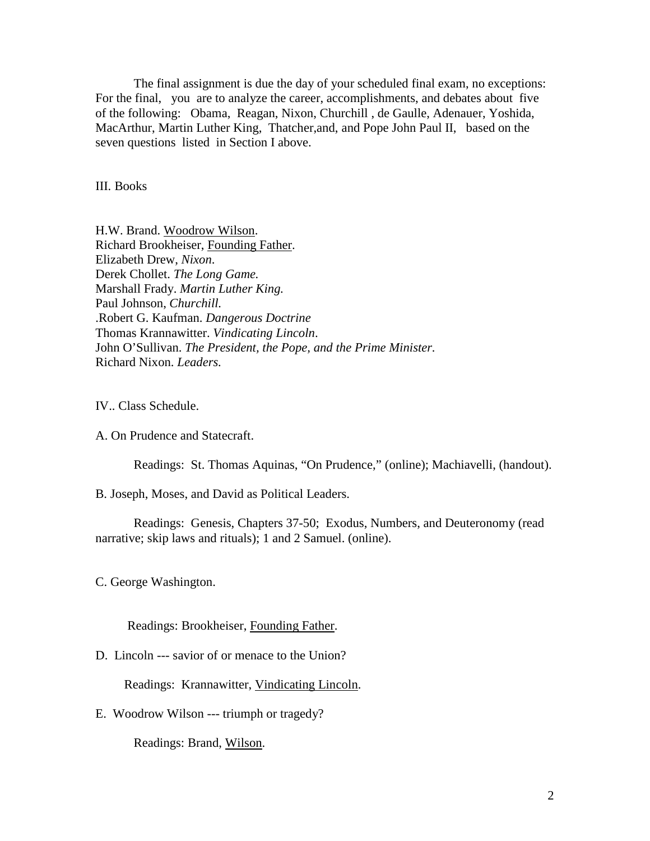The final assignment is due the day of your scheduled final exam, no exceptions: For the final, you are to analyze the career, accomplishments, and debates about five of the following: Obama, Reagan, Nixon, Churchill , de Gaulle, Adenauer, Yoshida, MacArthur, Martin Luther King, Thatcher,and, and Pope John Paul II, based on the seven questions listed in Section I above.

III. Books

H.W. Brand. Woodrow Wilson. Richard Brookheiser, Founding Father. Elizabeth Drew, *Nixon*. Derek Chollet. *The Long Game.* Marshall Frady. *Martin Luther King.* Paul Johnson, *Churchill.* .Robert G. Kaufman. *Dangerous Doctrine* Thomas Krannawitter. *Vindicating Lincoln*. John O'Sullivan. *The President, the Pope, and the Prime Minister.* Richard Nixon. *Leaders.* 

IV.. Class Schedule.

A. On Prudence and Statecraft.

Readings: St. Thomas Aquinas, "On Prudence," (online); Machiavelli, (handout).

B. Joseph, Moses, and David as Political Leaders.

Readings: Genesis, Chapters 37-50; Exodus, Numbers, and Deuteronomy (read narrative; skip laws and rituals); 1 and 2 Samuel. (online).

C. George Washington.

Readings: Brookheiser, Founding Father.

D. Lincoln --- savior of or menace to the Union?

Readings: Krannawitter, Vindicating Lincoln.

E. Woodrow Wilson --- triumph or tragedy?

Readings: Brand, Wilson.